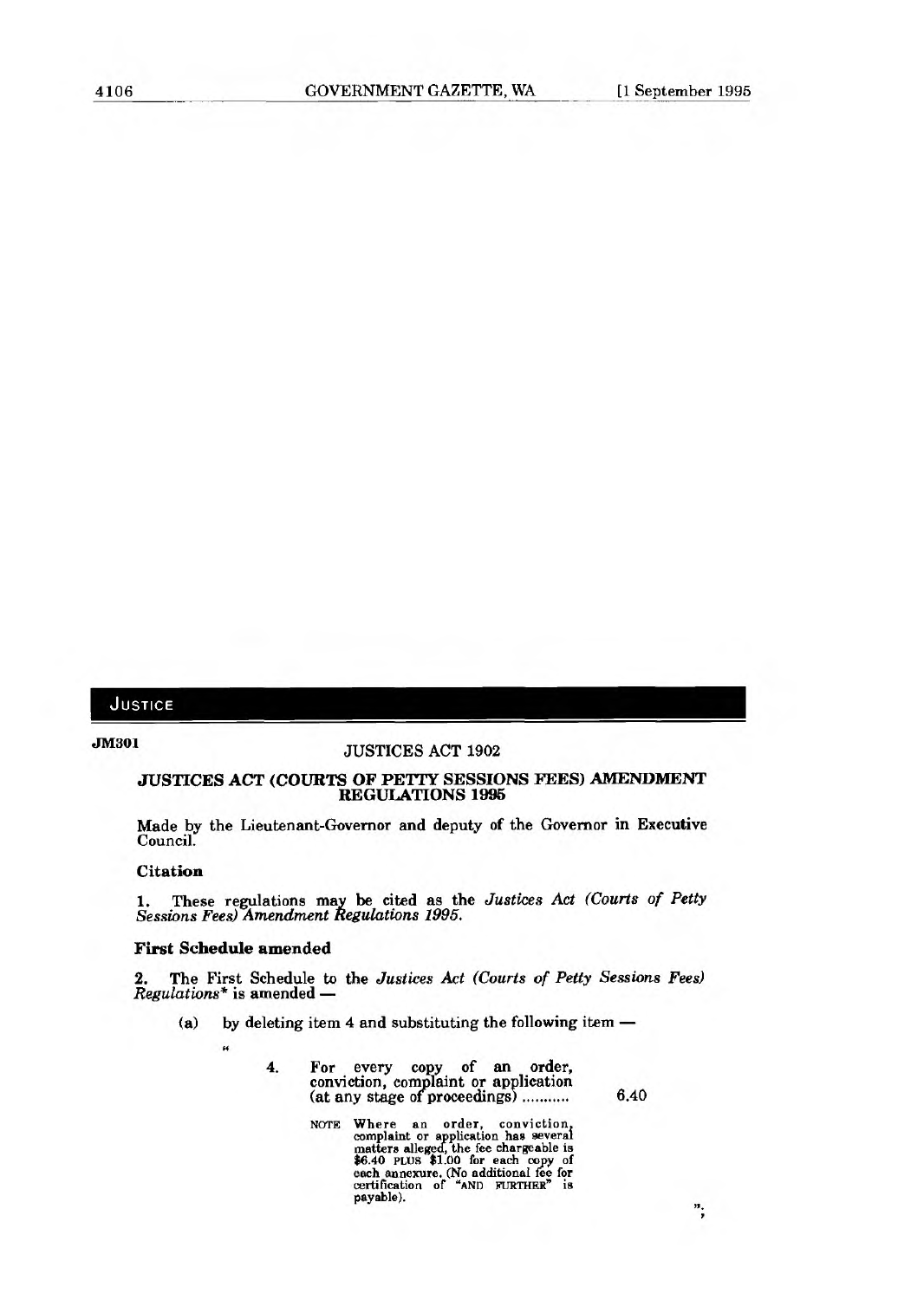## JUSTICE

# **JM301 JUSTICES ACT 1902**

### *JUSTICES* **ACT (COURTS OF PETTY SESSIONS FEES) AMENDMENT REGULATIONS 1995**

**Made by the Lieutenant-Governor and deputy of the Governor in Executive Council.** 

### **Citation**

**1. These regulations may be cited as the** *Justices Act (Courts of Petty Sessions Fees) Amendment Regulations 1995.* 

#### **First Schedule amended**

**2. The First Schedule to the** *Justices Act (Courts of Petty Sessions Fees) Regulations\** **is amended —** 

- **(a) by deleting item 4 and substituting the following item** 
	- **"**
- **4. For every copy of an order, conviction, complaint or application (at any stage** of **proceedings) 6.40**

";

**NOTE Where an order, conviction, complaint or application has several matters alleged, the fee chargeable is \$6.40 PLUS \$1.00 for each copy of each annexure. (No additional fee for certification of "AND FURTHER" is payable).**